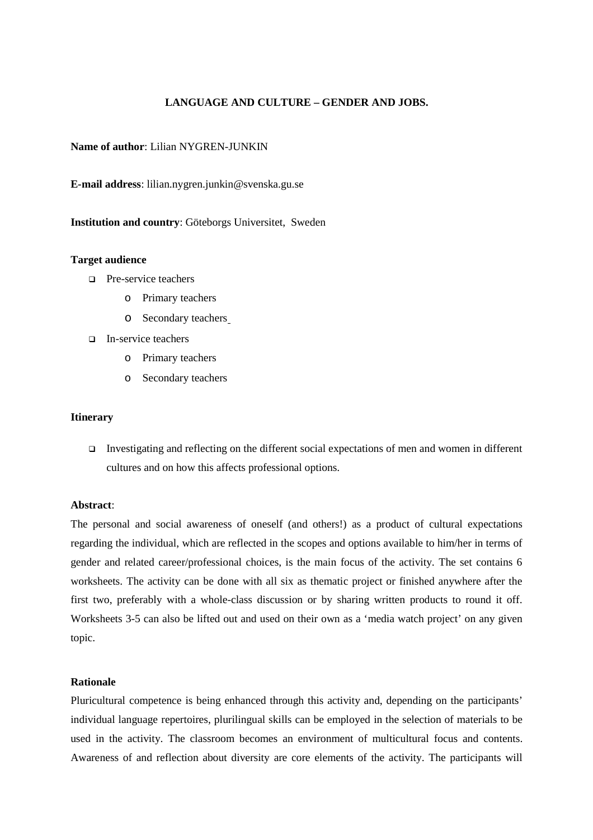## **LANGUAGE AND CULTURE – GENDER AND JOBS.**

### **Name of author**: Lilian NYGREN-JUNKIN

**E-mail address**: lilian.nygren.junkin@svenska.gu.se

**Institution and country**: Göteborgs Universitet, Sweden

#### **Target audience**

- **Pre-service teachers** 
	- o Primary teachers
	- o Secondary teachers
- In-service teachers
	- o Primary teachers
	- o Secondary teachers

#### **Itinerary**

 Investigating and reflecting on the different social expectations of men and women in different cultures and on how this affects professional options.

### **Abstract**:

The personal and social awareness of oneself (and others!) as a product of cultural expectations regarding the individual, which are reflected in the scopes and options available to him/her in terms of gender and related career/professional choices, is the main focus of the activity. The set contains 6 worksheets. The activity can be done with all six as thematic project or finished anywhere after the first two, preferably with a whole-class discussion or by sharing written products to round it off. Worksheets 3-5 can also be lifted out and used on their own as a 'media watch project' on any given topic.

### **Rationale**

Pluricultural competence is being enhanced through this activity and, depending on the participants' individual language repertoires, plurilingual skills can be employed in the selection of materials to be used in the activity. The classroom becomes an environment of multicultural focus and contents. Awareness of and reflection about diversity are core elements of the activity. The participants will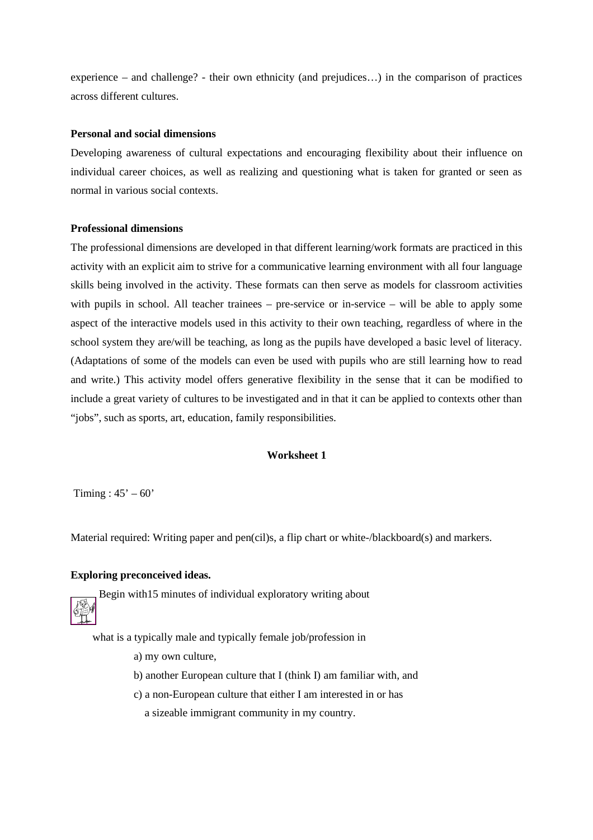experience – and challenge? - their own ethnicity (and prejudices…) in the comparison of practices across different cultures.

### **Personal and social dimensions**

Developing awareness of cultural expectations and encouraging flexibility about their influence on individual career choices, as well as realizing and questioning what is taken for granted or seen as normal in various social contexts.

#### **Professional dimensions**

The professional dimensions are developed in that different learning/work formats are practiced in this activity with an explicit aim to strive for a communicative learning environment with all four language skills being involved in the activity. These formats can then serve as models for classroom activities with pupils in school. All teacher trainees – pre-service or in-service – will be able to apply some aspect of the interactive models used in this activity to their own teaching, regardless of where in the school system they are/will be teaching, as long as the pupils have developed a basic level of literacy. (Adaptations of some of the models can even be used with pupils who are still learning how to read and write.) This activity model offers generative flexibility in the sense that it can be modified to include a great variety of cultures to be investigated and in that it can be applied to contexts other than "jobs", such as sports, art, education, family responsibilities.

### **Worksheet 1**

Timing :  $45^\circ - 60^\circ$ 

Material required: Writing paper and pen(cil)s, a flip chart or white-/blackboard(s) and markers.

#### **Exploring preconceived ideas.**

Begin with15 minutes of individual exploratory writing about

what is a typically male and typically female job/profession in

- a) my own culture,
- b) another European culture that I (think I) am familiar with, and
- c) a non-European culture that either I am interested in or has

a sizeable immigrant community in my country.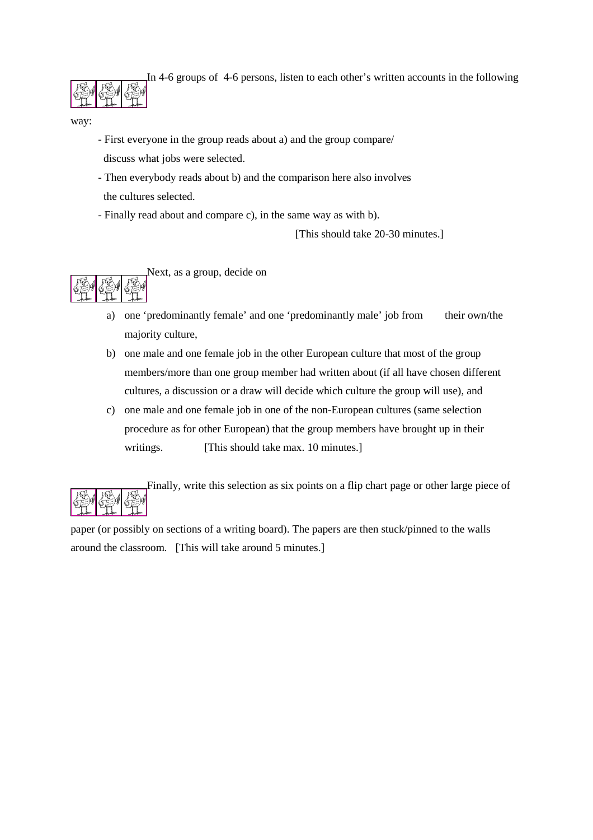In 4-6 groups of 4-6 persons, listen to each other's written accounts in the following

way:

- First everyone in the group reads about a) and the group compare/ discuss what jobs were selected.
- Then everybody reads about b) and the comparison here also involves the cultures selected.
- Finally read about and compare c), in the same way as with b).

[This should take 20-30 minutes.]



- a) one 'predominantly female' and one 'predominantly male' job from their own/the majority culture,
- b) one male and one female job in the other European culture that most of the group members/more than one group member had written about (if all have chosen different cultures, a discussion or a draw will decide which culture the group will use), and
- c) one male and one female job in one of the non-European cultures (same selection procedure as for other European) that the group members have brought up in their writings. [This should take max. 10 minutes.]



Finally, write this selection as six points on a flip chart page or other large piece of

paper (or possibly on sections of a writing board). The papers are then stuck/pinned to the walls around the classroom. [This will take around 5 minutes.]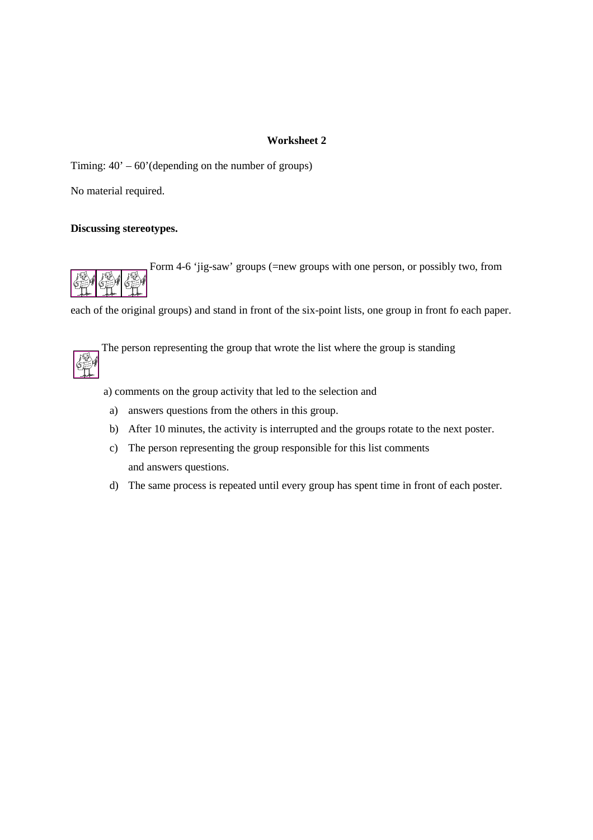Timing:  $40' - 60'$  (depending on the number of groups)

No material required.

## **Discussing stereotypes.**

Form 4-6 'jig-saw' groups (=new groups with one person, or possibly two, from

each of the original groups) and stand in front of the six-point lists, one group in front fo each paper.



The person representing the group that wrote the list where the group is standing

a) comments on the group activity that led to the selection and

- a) answers questions from the others in this group.
- b) After 10 minutes, the activity is interrupted and the groups rotate to the next poster.
- c) The person representing the group responsible for this list comments and answers questions.
- d) The same process is repeated until every group has spent time in front of each poster.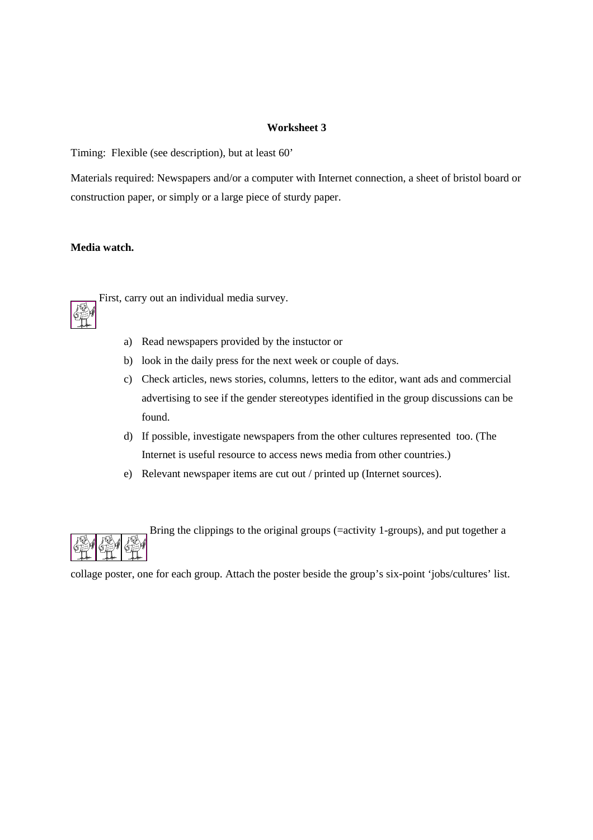Timing: Flexible (see description), but at least 60'

Materials required: Newspapers and/or a computer with Internet connection, a sheet of bristol board or construction paper, or simply or a large piece of sturdy paper.

# **Media watch.**



First, carry out an individual media survey.

- a) Read newspapers provided by the instuctor or
- b) look in the daily press for the next week or couple of days.
- c) Check articles, news stories, columns, letters to the editor, want ads and commercial advertising to see if the gender stereotypes identified in the group discussions can be found.
- d) If possible, investigate newspapers from the other cultures represented too. (The Internet is useful resource to access news media from other countries.)
- e) Relevant newspaper items are cut out / printed up (Internet sources).



collage poster, one for each group. Attach the poster beside the group's six-point 'jobs/cultures' list.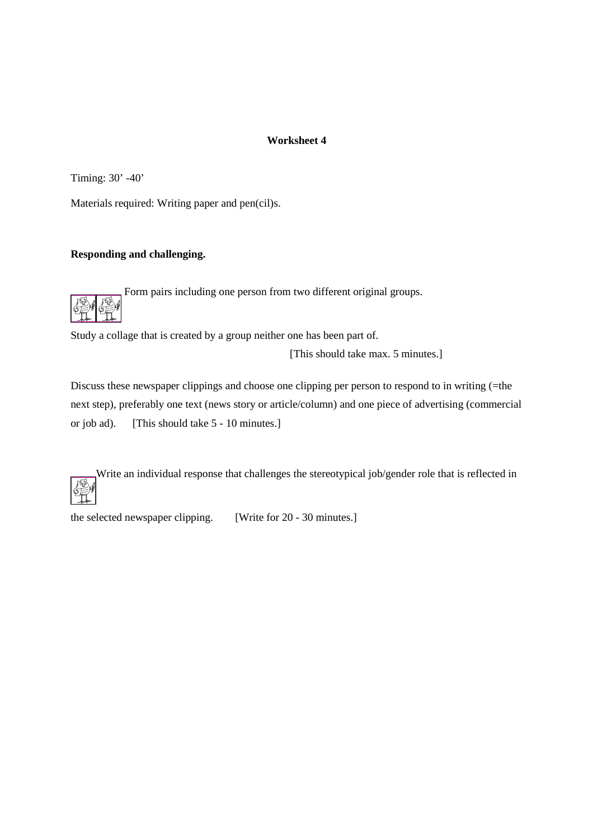Timing: 30' -40'

Materials required: Writing paper and pen(cil)s.

# **Responding and challenging.**

Form pairs including one person from two different original groups.



Study a collage that is created by a group neither one has been part of.

[This should take max. 5 minutes.]

Discuss these newspaper clippings and choose one clipping per person to respond to in writing (=the next step), preferably one text (news story or article/column) and one piece of advertising (commercial or job ad). [This should take 5 - 10 minutes.]

Write an individual response that challenges the stereotypical job/gender role that is reflected in

the selected newspaper clipping. [Write for 20 - 30 minutes.]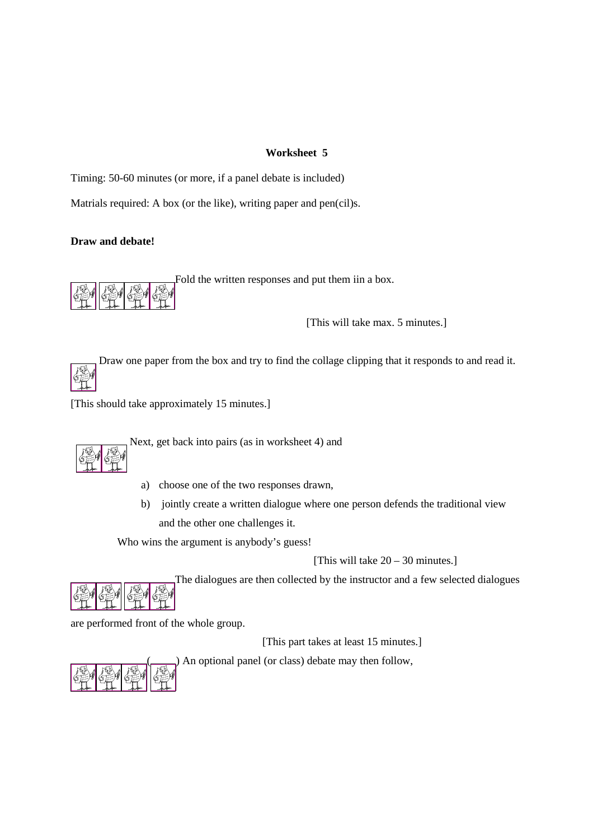Timing: 50-60 minutes (or more, if a panel debate is included)

Matrials required: A box (or the like), writing paper and pen(cil)s.

# **Draw and debate!**



Fold the written responses and put them iin a box.

[This will take max. 5 minutes.]

 Draw one paper from the box and try to find the collage clipping that it responds to and read it. Гō

[This should take approximately 15 minutes.]

ext, get back into pairs (as in worksheet 4) and

- a) choose one of the two responses drawn,
- b) jointly create a written dialogue where one person defends the traditional view and the other one challenges it.

Who wins the argument is anybody's guess!

[This will take 20 – 30 minutes.]



are performed front of the whole group.

[This part takes at least 15 minutes.]



( ) An optional panel (or class) debate may then follow,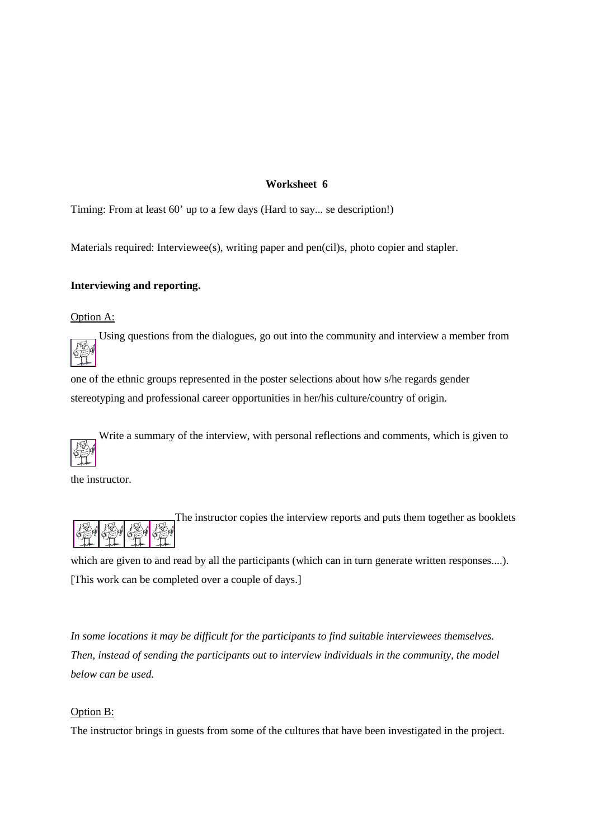Timing: From at least 60' up to a few days (Hard to say... se description!)

Materials required: Interviewee(s), writing paper and pen(cil)s, photo copier and stapler.

### **Interviewing and reporting.**

Option A:

Using questions from the dialogues, go out into the community and interview a member from

one of the ethnic groups represented in the poster selections about how s/he regards gender stereotyping and professional career opportunities in her/his culture/country of origin.

Write a summary of the interview, with personal reflections and comments, which is given to

the instructor.

The instructor copies the interview reports and puts them together as booklets

which are given to and read by all the participants (which can in turn generate written responses....). [This work can be completed over a couple of days.]

*In some locations it may be difficult for the participants to find suitable interviewees themselves. Then, instead of sending the participants out to interview individuals in the community, the model below can be used.*

#### Option B:

The instructor brings in guests from some of the cultures that have been investigated in the project.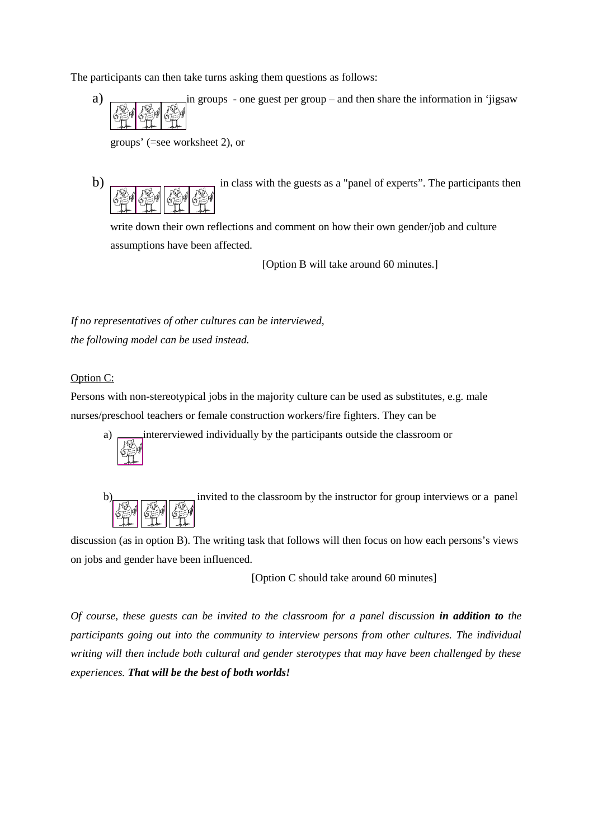The participants can then take turns asking them questions as follows:

a) in groups - one guest per group – and then share the information in 'jigsaw. The second set is 
$$
\frac{1}{2}
$$
.

groups' (=see worksheet 2), or

b) in class with the guests as a "panel of experts". The participants then 

write down their own reflections and comment on how their own gender/job and culture assumptions have been affected.

[Option B will take around 60 minutes.]

*If no representatives of other cultures can be interviewed, the following model can be used instead.*

### Option C:

Persons with non-stereotypical jobs in the majority culture can be used as substitutes, e.g. male nurses/preschool teachers or female construction workers/fire fighters. They can be



a) intererviewed individually by the participants outside the classroom or



discussion (as in option B). The writing task that follows will then focus on how each persons's views on jobs and gender have been influenced.

[Option C should take around 60 minutes]

*Of course, these guests can be invited to the classroom for a panel discussion in addition to the participants going out into the community to interview persons from other cultures. The individual writing will then include both cultural and gender sterotypes that may have been challenged by these experiences. That will be the best of both worlds!*